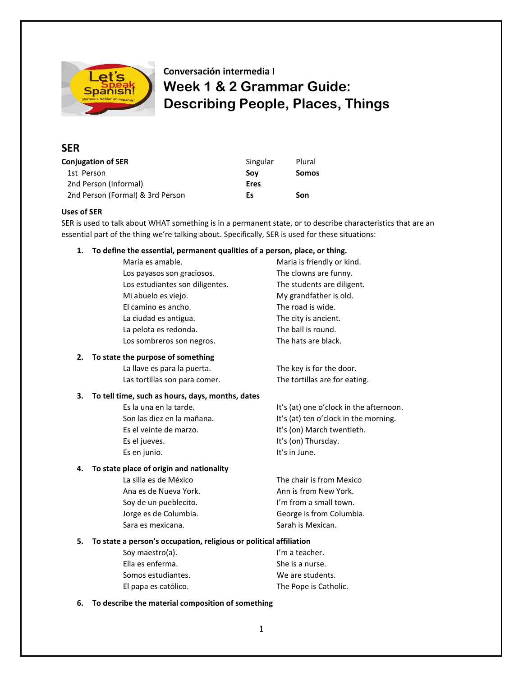

# **Conversación intermedia I Week 1 & 2 Grammar Guide: Describing People, Places, Things**

## **SER**

| <b>Conjugation of SER</b>        | Singular | Plural       |
|----------------------------------|----------|--------------|
| 1st Person                       | Sov      | <b>Somos</b> |
| 2nd Person (Informal)            | Eres     |              |
| 2nd Person (Formal) & 3rd Person | Es       | Son          |

#### **Uses of SER**

SER is used to talk about WHAT something is in a permanent state, or to describe characteristics that are an essential part of the thing we're talking about. Specifically, SER is used for these situations:

#### **1. To define the essential, permanent qualities of a person, place, or thing.**

| María es amable.                | Maria is friendly or kind. |
|---------------------------------|----------------------------|
| Los payasos son graciosos.      | The clowns are funny.      |
| Los estudiantes son diligentes. | The students are diligent. |
| Mi abuelo es viejo.             | My grandfather is old.     |
| El camino es ancho.             | The road is wide.          |
| La ciudad es antigua.           | The city is ancient.       |
| La pelota es redonda.           | The ball is round.         |
| Los sombreros son negros.       | The hats are black.        |
|                                 |                            |

#### **2. To state the purpose of something**

La llave es para la puerta. The key is for the door. Las tortillas son para comer. The tortillas are for eating.

#### **3. To tell time, such as hours, days, months, dates**

| Es la una en la tarde.     | It's (at) one o'clock in the afternoon. |
|----------------------------|-----------------------------------------|
| Son las diez en la mañana. | It's (at) ten o'clock in the morning.   |
| Es el veinte de marzo.     | It's (on) March twentieth.              |
| Es el jueves.              | It's (on) Thursday.                     |
| Es en junio.               | It's in June.                           |
|                            |                                         |

#### **4. To state place of origin and nationality**

Ana es de Nueva York. Ann is from New York. Soy de un pueblecito. I'm from a small town. Sara es mexicana. Sarah is Mexican.

La silla es de México The chair is from Mexico Jorge es de Columbia. George is from Columbia.

### **5. To state a person's occupation, religious or political affiliation**

| I'm a teacher.<br>Sov maestro(a). |                       |
|-----------------------------------|-----------------------|
| Ella es enferma.                  | She is a nurse.       |
| Somos estudiantes.                | We are students.      |
| El papa es católico.              | The Pope is Catholic. |

#### **6. To describe the material composition of something**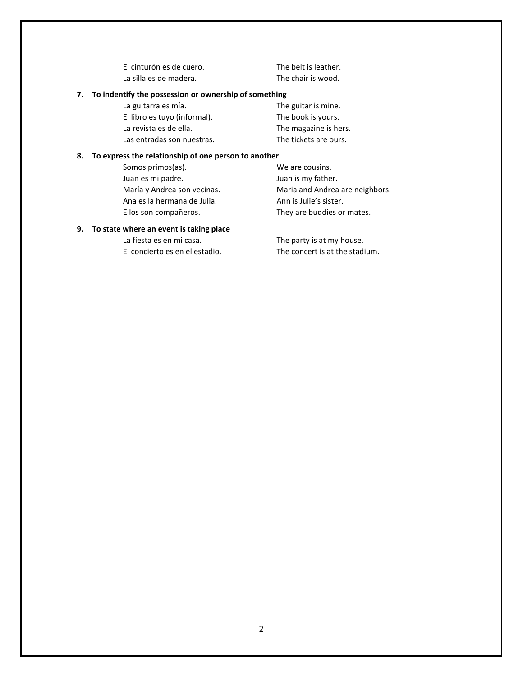El cinturón es de cuero. The belt is leather. La silla es de madera. The chair is wood.

#### **7. To indentify the possession or ownership of something**

| La guitarra es mía.          | The guitar is mine.   |
|------------------------------|-----------------------|
| El libro es tuvo (informal). | The book is yours.    |
| La revista es de ella.       | The magazine is hers. |
| Las entradas son nuestras.   | The tickets are ours. |

#### **8. To express the relationship of one person to another**

| We are cousins.                 |
|---------------------------------|
| Juan is my father.              |
| Maria and Andrea are neighbors. |
| Ann is Julie's sister.          |
| They are buddies or mates.      |
|                                 |

#### **9. To state where an event is taking place**

La fiesta es en mi casa. The party is at my house. El concierto es en el estadio. The concert is at the stadium.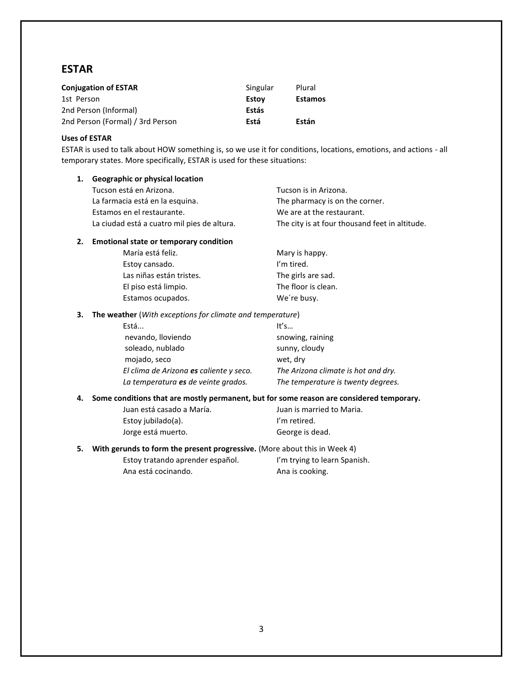# **ESTAR**

| <b>Conjugation of ESTAR</b>      | Singular | Plural         |
|----------------------------------|----------|----------------|
| 1st Person                       | Estov    | <b>Estamos</b> |
| 2nd Person (Informal)            | Estás    |                |
| 2nd Person (Formal) / 3rd Person | Está     | Están          |

#### **Uses of ESTAR**

ESTAR is used to talk about HOW something is, so we use it for conditions, locations, emotions, and actions - all temporary states. More specifically, ESTAR is used for these situations:

#### **1. Geographic or physical location**

| Tucson está en Arizona.                     | Tucson is in Arizona.                          |
|---------------------------------------------|------------------------------------------------|
| La farmacia está en la esquina.             | The pharmacy is on the corner.                 |
| Estamos en el restaurante.                  | We are at the restaurant.                      |
| La ciudad está a cuatro mil pies de altura. | The city is at four thousand feet in altitude. |

#### **2. Emotional state or temporary condition**

| María está feliz.        | Mary is happy.      |
|--------------------------|---------------------|
| Estoy cansado.           | I'm tired.          |
| Las niñas están tristes. | The girls are sad.  |
| El piso está limpio.     | The floor is clean. |
| Estamos ocupados.        | We're busy.         |

#### **3. The weather** (*With exceptions for climate and temperature*)

| Está                                    | It's                                |
|-----------------------------------------|-------------------------------------|
| nevando, lloviendo                      | snowing, raining                    |
| soleado, nublado                        | sunny, cloudy                       |
| mojado, seco                            | wet, dry                            |
| El clima de Arizona es caliente y seco. | The Arizona climate is hot and dry. |
| La temperatura es de veinte grados.     | The temperature is twenty degrees.  |

#### **4. Some conditions that are mostly permanent, but for some reason are considered temporary.**

| Juan está casado a María. |
|---------------------------|
| Estoy jubilado(a).        |
| Jorge está muerto.        |

Juan is married to Maria. I'm retired. George is dead.

**5. With gerunds to form the present progressive.** (More about this in Week 4)

Estoy tratando aprender español. I'm trying to learn Spanish. Ana está cocinando. Ana is cooking.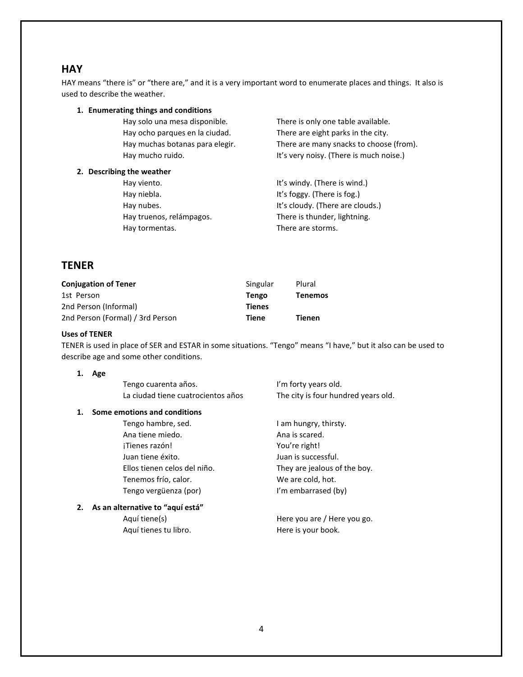# **HAY**

HAY means "there is" or "there are," and it is a very important word to enumerate places and things. It also is used to describe the weather.

# **1. Enumerating things and conditions**

Hay ocho parques en la ciudad. There are eight parks in the city.

Hay solo una mesa disponible. There is only one table available. Hay muchas botanas para elegir. There are many snacks to choose (from). Hay mucho ruido. The result of the service of the lift's very noisy. (There is much noise.)

#### **2. Describing the weather**

Hay viento. The same state of the law of the law of the law of the law of the law of the law of the law of the l Hay niebla. The same state of the state of the Hay niebla. Hay nubes. The state of the state of the lit's cloudy. (There are clouds.) Hay truenos, relámpagos. There is thunder, lightning. Hay tormentas. There are storms.

# **TENER**

| <b>Conjugation of Tener</b>      | Singular      | Plural         |
|----------------------------------|---------------|----------------|
| 1st Person                       | Tengo         | <b>Tenemos</b> |
| 2nd Person (Informal)            | <b>Tienes</b> |                |
| 2nd Person (Formal) / 3rd Person | Tiene         | <b>Tienen</b>  |

#### **Uses of TENER**

TENER is used in place of SER and ESTAR in some situations. "Tengo" means "I have," but it also can be used to describe age and some other conditions.

#### **1. Age**

**1.** Some

| emotions and conditions            |                                     |
|------------------------------------|-------------------------------------|
| La ciudad tiene cuatrocientos años | The city is four hundred years old. |
| Tengo cuarenta años.               | I'm forty years old.                |

Tengo hambre, sed. The same of the law of the law hungry, thirsty. Ana tiene miedo. Ana is scared. ¡Tienes razón! You're right! Juan tiene éxito. Juan is successful. Ellos tienen celos del niño. They are jealous of the boy. Tenemos frío, calor. We are cold, hot. Tengo vergüenza (por) I'm embarrased (by)

# **2. As an alternative to "aquí está"**

Aquí tienes tu libro. The series of the Here is your book.

Aquí tiene(s) and tiene you are / Here you go.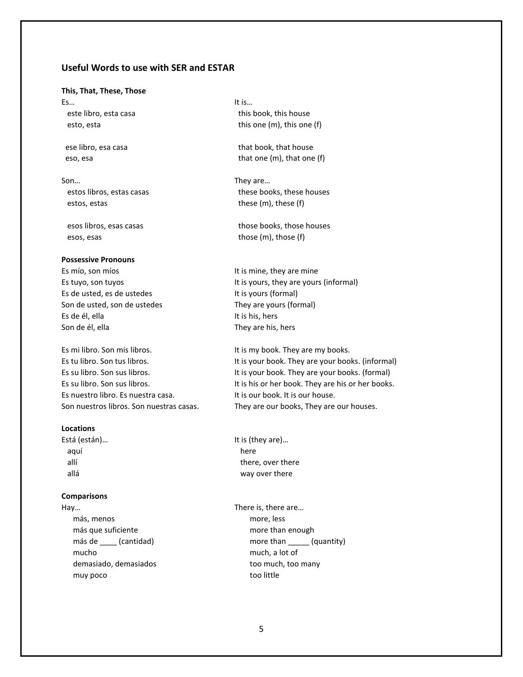### **Useful Words to use with SER and ESTAR**

#### **This, That, These, Those**

Es… It is…

Son… They are… estos, estas these (m), these (f)

esos, esas those (m), those (f)

#### **Possessive Pronouns**

Es de usted, es de ustedes It is yours (formal) Son de usted, son de ustedes They are yours (formal) Es de él, ella It is his, hers Son de él, ella They are his, hers

Es mi libro. Son mis libros. It is my book. They are my books. Es nuestro libro. Es nuestra casa.<br>It is our book. It is our house.

#### **Locations**

aquí here

#### **Comparisons**

 más, menos more, less más que suficiente more than enough mucho much, a lot of demasiado, demasiados too much, too many muy poco too little

este libro, esta casa this book, this house esto, esta this one (m), this one (f)

ese libro, esa casa that book, that house eso, esa that one (m), that one (f)

estos libros, estas casas these books, these houses

esos libros, esas casas those books, those houses

Es mío, son míos in the settlement of the settlement of the settlement of the settlement of the set of the set Es tuyo, son tuyos **It is yours, they are yours (informal)** 

Es tu libro. Son tus libros. It is your book. They are your books. (informal) Es su libro. Son sus libros. It is your book. They are your books. (formal) Es su libro. Son sus libros. It is his or her book. They are his or her books. Son nuestros libros. Son nuestras casas. They are our books, They are our houses.

Está (están)… It is (they are)… allí allí there, over there allá way over there

Hay… There is, there are… más de \_\_\_\_ (cantidad) more than \_\_\_\_\_ (quantity)